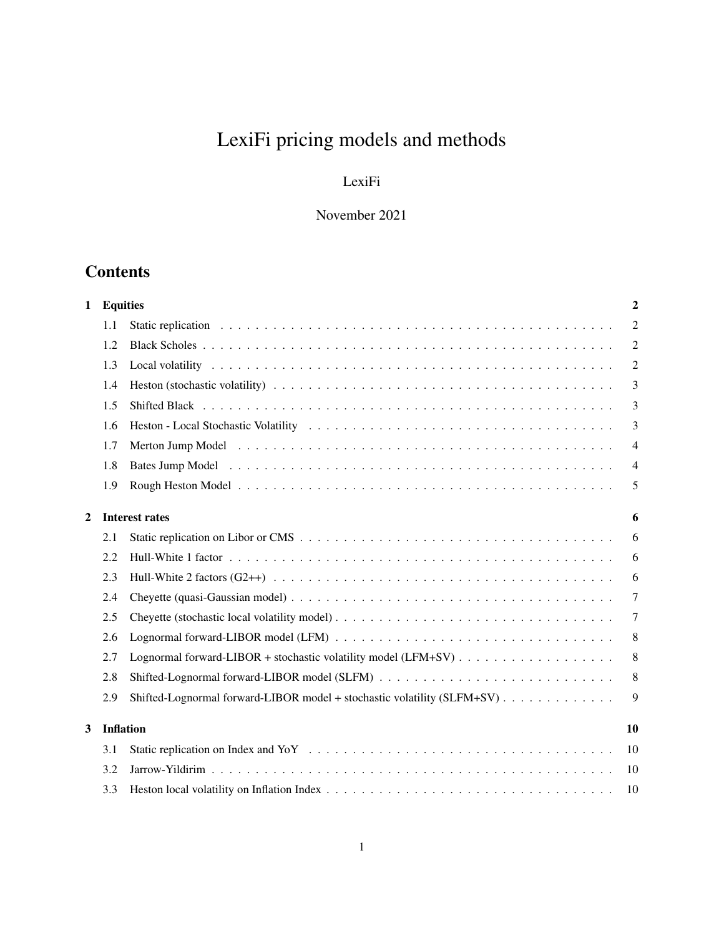# LexiFi pricing models and methods

## LexiFi

## November 2021

## **Contents**

| 1              | <b>Equities</b>            |                                                                         | $\boldsymbol{2}$ |  |  |
|----------------|----------------------------|-------------------------------------------------------------------------|------------------|--|--|
|                | 1.1                        |                                                                         | $\overline{2}$   |  |  |
|                | 1.2                        |                                                                         | 2                |  |  |
|                | 1.3                        |                                                                         | $\overline{2}$   |  |  |
|                | 1.4                        |                                                                         | 3                |  |  |
|                | 1.5                        |                                                                         | 3                |  |  |
|                | 1.6                        |                                                                         | 3                |  |  |
|                | 1.7                        |                                                                         | $\overline{4}$   |  |  |
|                | 1.8                        |                                                                         | $\overline{4}$   |  |  |
|                | 1.9                        |                                                                         | 5                |  |  |
| $\overline{2}$ | <b>Interest rates</b><br>6 |                                                                         |                  |  |  |
|                | 2.1                        |                                                                         | 6                |  |  |
|                | 2.2                        |                                                                         | 6                |  |  |
|                | 2.3                        |                                                                         | 6                |  |  |
|                | 2.4                        |                                                                         | 7                |  |  |
|                | 2.5                        |                                                                         | $\overline{7}$   |  |  |
|                | 2.6                        |                                                                         | 8                |  |  |
|                | 2.7                        |                                                                         | 8                |  |  |
|                | 2.8                        |                                                                         | 8                |  |  |
|                | 2.9                        | Shifted-Lognormal forward-LIBOR model + stochastic volatility (SLFM+SV) | 9                |  |  |
| 3              | <b>Inflation</b>           |                                                                         |                  |  |  |
|                | 3.1                        |                                                                         | 10               |  |  |
|                | 3.2                        |                                                                         | 10               |  |  |
|                | 3.3                        |                                                                         | 10               |  |  |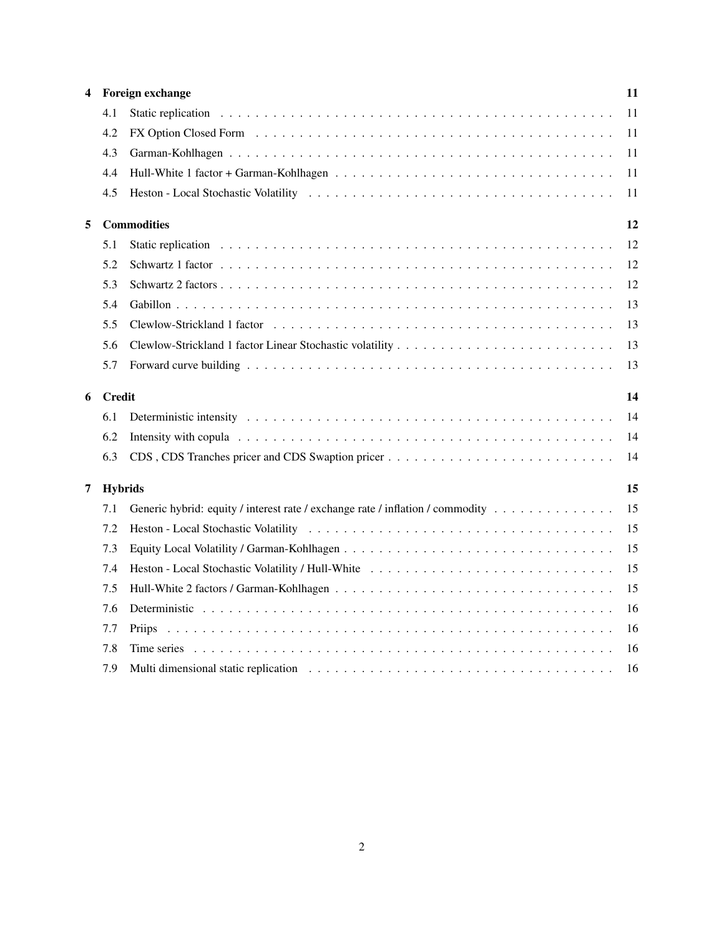| 4 |               | Foreign exchange                                                               | 11 |
|---|---------------|--------------------------------------------------------------------------------|----|
|   | 4.1           |                                                                                | 11 |
|   | 4.2           |                                                                                | 11 |
|   | 4.3           |                                                                                | 11 |
|   | 4.4           |                                                                                | 11 |
|   | 4.5           |                                                                                | 11 |
| 5 |               | <b>Commodities</b>                                                             | 12 |
|   | 5.1           |                                                                                | 12 |
|   | 5.2           |                                                                                | 12 |
|   | 5.3           |                                                                                | 12 |
|   | 5.4           |                                                                                | 13 |
|   | 5.5           |                                                                                | 13 |
|   | 5.6           |                                                                                | 13 |
|   | 5.7           |                                                                                | 13 |
| 6 | <b>Credit</b> |                                                                                |    |
|   | 6.1           |                                                                                | 14 |
|   | 6.2           |                                                                                | 14 |
|   | 6.3           | CDS, CDS Tranches pricer and CDS Swaption pricer                               | 14 |
| 7 |               |                                                                                |    |
|   |               | <b>Hybrids</b>                                                                 | 15 |
|   | 7.1           | Generic hybrid: equity / interest rate / exchange rate / inflation / commodity | 15 |
|   | 7.2           |                                                                                | 15 |
|   | 7.3           |                                                                                | 15 |
|   | 7.4           |                                                                                | 15 |
|   | 7.5           |                                                                                | 15 |
|   | 7.6           |                                                                                | 16 |
|   | 7.7           | <b>Priips</b>                                                                  | 16 |
|   | 7.8           |                                                                                | 16 |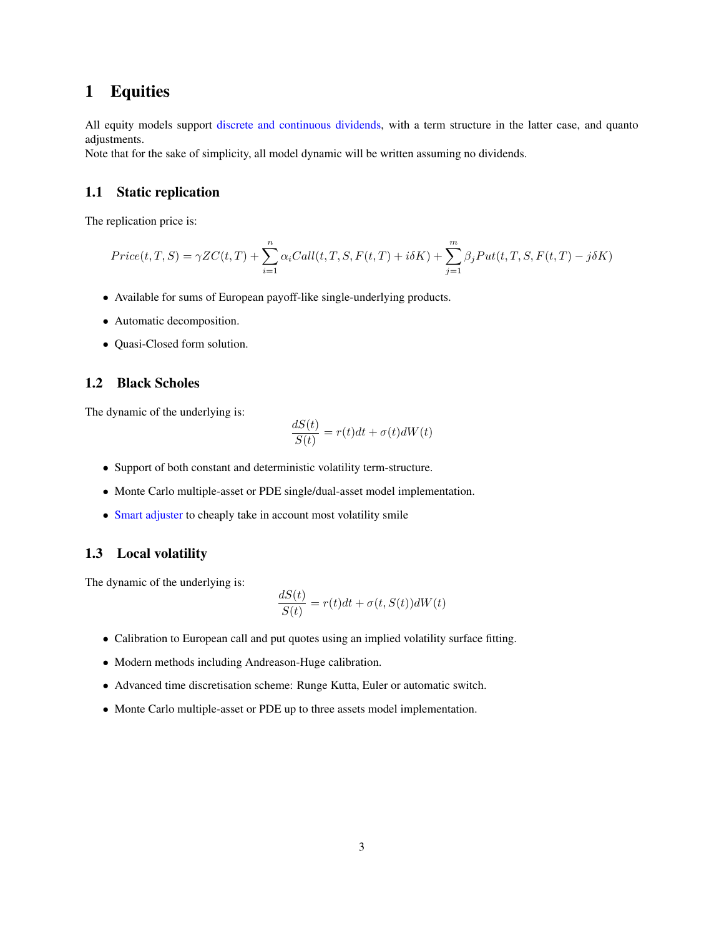## <span id="page-2-0"></span>1 Equities

All equity models support [discrete and continuous dividends,](https://www.lexifi.com/blog/quant/pricing-dividends/) with a term structure in the latter case, and quanto adjustments.

Note that for the sake of simplicity, all model dynamic will be written assuming no dividends.

#### <span id="page-2-1"></span>1.1 Static replication

The replication price is:

$$
Price(t, T, S) = \gamma ZC(t, T) + \sum_{i=1}^{n} \alpha_i Call(t, T, S, F(t, T) + i\delta K) + \sum_{j=1}^{m} \beta_j Put(t, T, S, F(t, T) - j\delta K)
$$

- Available for sums of European payoff-like single-underlying products.
- Automatic decomposition.
- Quasi-Closed form solution.

#### <span id="page-2-2"></span>1.2 Black Scholes

The dynamic of the underlying is:

$$
\frac{dS(t)}{S(t)} = r(t)dt + \sigma(t)dW(t)
$$

- Support of both constant and deterministic volatility term-structure.
- Monte Carlo multiple-asset or PDE single/dual-asset model implementation.
- [Smart adjuster](https://www.lexifi.com/white_papers/adjusters.pdf) to cheaply take in account most volatility smile

#### <span id="page-2-3"></span>1.3 Local volatility

$$
\frac{dS(t)}{S(t)} = r(t)dt + \sigma(t, S(t))dW(t)
$$

- Calibration to European call and put quotes using an implied volatility surface fitting.
- Modern methods including Andreason-Huge calibration.
- Advanced time discretisation scheme: Runge Kutta, Euler or automatic switch.
- Monte Carlo multiple-asset or PDE up to three assets model implementation.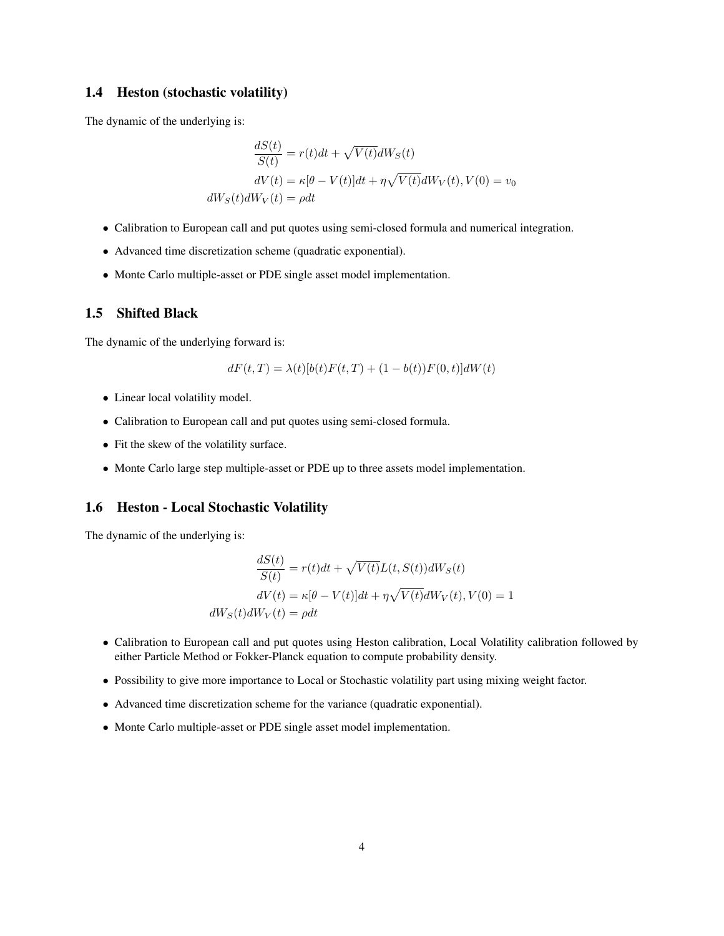#### <span id="page-3-0"></span>1.4 Heston (stochastic volatility)

The dynamic of the underlying is:

$$
\frac{dS(t)}{S(t)} = r(t)dt + \sqrt{V(t)}dW_S(t)
$$

$$
dV(t) = \kappa[\theta - V(t)]dt + \eta\sqrt{V(t)}dW_V(t), V(0) = v_0
$$

$$
dW_S(t)dW_V(t) = \rho dt
$$

- Calibration to European call and put quotes using semi-closed formula and numerical integration.
- Advanced time discretization scheme (quadratic exponential).
- Monte Carlo multiple-asset or PDE single asset model implementation.

#### <span id="page-3-1"></span>1.5 Shifted Black

The dynamic of the underlying forward is:

$$
dF(t,T) = \lambda(t)[b(t)F(t,T) + (1 - b(t))F(0,t)]dW(t)
$$

- Linear local volatility model.
- Calibration to European call and put quotes using semi-closed formula.
- Fit the skew of the volatility surface.
- Monte Carlo large step multiple-asset or PDE up to three assets model implementation.

#### <span id="page-3-2"></span>1.6 Heston - Local Stochastic Volatility

$$
\frac{dS(t)}{S(t)} = r(t)dt + \sqrt{V(t)}L(t, S(t))dW_S(t)
$$

$$
dV(t) = \kappa[\theta - V(t)]dt + \eta\sqrt{V(t)}dW_V(t), V(0) = 1
$$

$$
dW_S(t)dW_V(t) = \rho dt
$$

- Calibration to European call and put quotes using Heston calibration, Local Volatility calibration followed by either Particle Method or Fokker-Planck equation to compute probability density.
- Possibility to give more importance to Local or Stochastic volatility part using mixing weight factor.
- Advanced time discretization scheme for the variance (quadratic exponential).
- Monte Carlo multiple-asset or PDE single asset model implementation.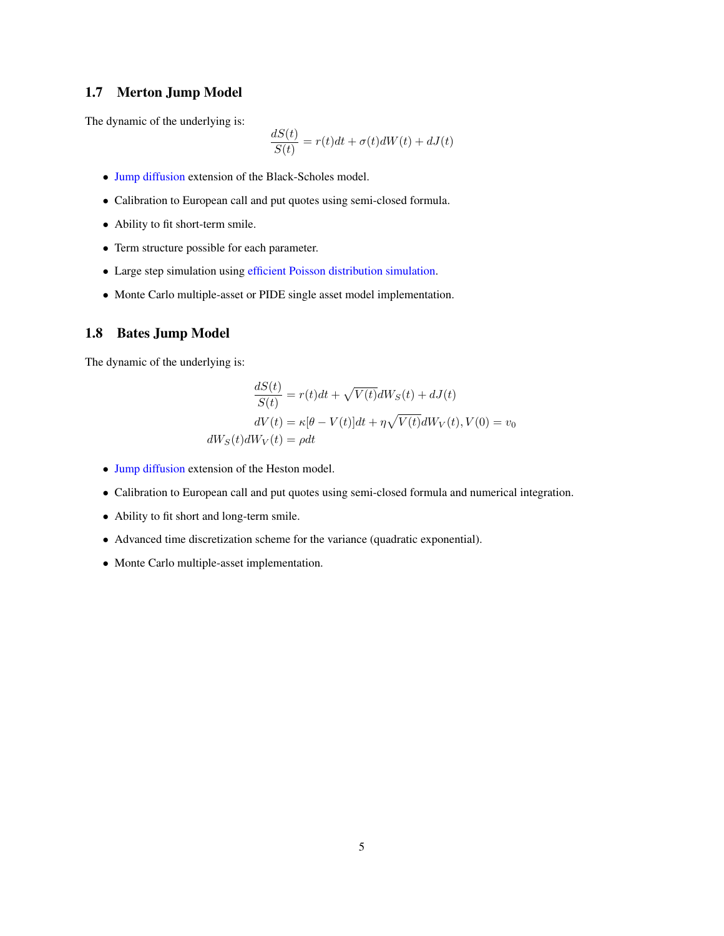#### <span id="page-4-0"></span>1.7 Merton Jump Model

The dynamic of the underlying is:

$$
\frac{dS(t)}{S(t)} = r(t)dt + \sigma(t)dW(t) + dJ(t)
$$

- [Jump diffusion](https://www.lexifi.com/blog/quant/jump-diffusion-models-merton-and-bates/) extension of the Black-Scholes model.
- Calibration to European call and put quotes using semi-closed formula.
- Ability to fit short-term smile.
- Term structure possible for each parameter.
- Large step simulation using [efficient Poisson distribution simulation.](https://www.lexifi.com/blog/quant/efficient-simulation-method-poisson-distribution/)
- Monte Carlo multiple-asset or PIDE single asset model implementation.

#### <span id="page-4-1"></span>1.8 Bates Jump Model

$$
\frac{dS(t)}{S(t)} = r(t)dt + \sqrt{V(t)}dW_S(t) + dJ(t)
$$

$$
dV(t) = \kappa[\theta - V(t)]dt + \eta\sqrt{V(t)}dW_V(t), V(0) = v_0
$$

$$
dW_S(t)dW_V(t) = \rho dt
$$

- [Jump diffusion](https://www.lexifi.com/blog/quant/jump-diffusion-models-merton-and-bates/) extension of the Heston model.
- Calibration to European call and put quotes using semi-closed formula and numerical integration.
- Ability to fit short and long-term smile.
- Advanced time discretization scheme for the variance (quadratic exponential).
- Monte Carlo multiple-asset implementation.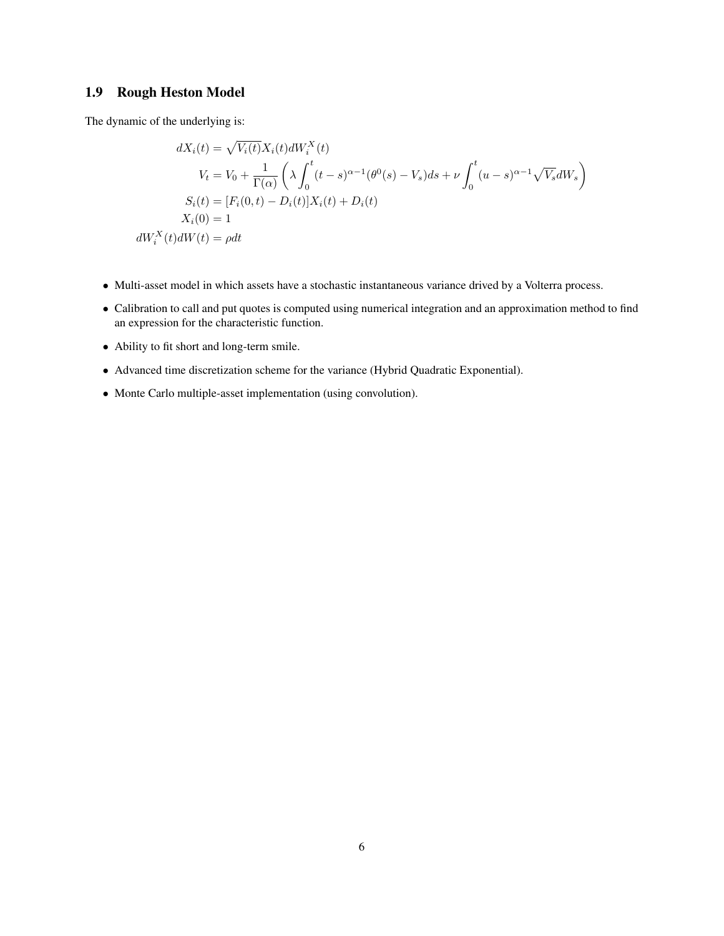## <span id="page-5-0"></span>1.9 Rough Heston Model

$$
dX_i(t) = \sqrt{V_i(t)} X_i(t) dW_i^X(t)
$$
  
\n
$$
V_t = V_0 + \frac{1}{\Gamma(\alpha)} \left( \lambda \int_0^t (t - s)^{\alpha - 1} (\theta^0(s) - V_s) ds + \nu \int_0^t (u - s)^{\alpha - 1} \sqrt{V_s} dW_s \right)
$$
  
\n
$$
S_i(t) = [F_i(0, t) - D_i(t)] X_i(t) + D_i(t)
$$
  
\n
$$
X_i(0) = 1
$$
  
\n
$$
dW_i^X(t) dW(t) = \rho dt
$$

- Multi-asset model in which assets have a stochastic instantaneous variance drived by a Volterra process.
- Calibration to call and put quotes is computed using numerical integration and an approximation method to find an expression for the characteristic function.
- Ability to fit short and long-term smile.
- Advanced time discretization scheme for the variance (Hybrid Quadratic Exponential).
- Monte Carlo multiple-asset implementation (using convolution).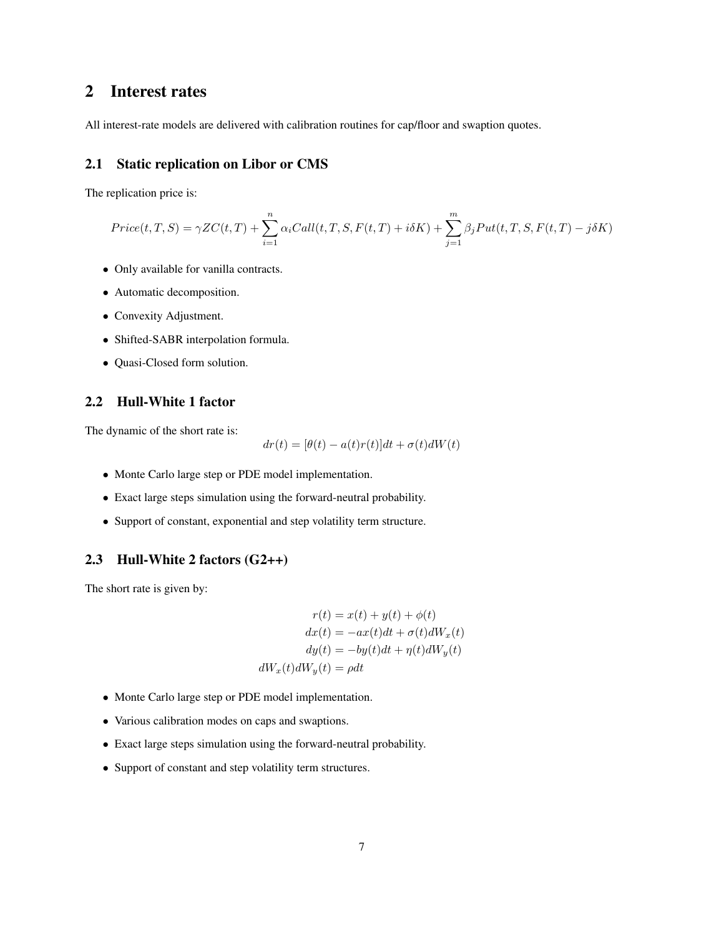## <span id="page-6-0"></span>2 Interest rates

All interest-rate models are delivered with calibration routines for cap/floor and swaption quotes.

#### <span id="page-6-1"></span>2.1 Static replication on Libor or CMS

The replication price is:

$$
Price(t, T, S) = \gamma ZC(t, T) + \sum_{i=1}^{n} \alpha_i Call(t, T, S, F(t, T) + i\delta K) + \sum_{j=1}^{m} \beta_j Put(t, T, S, F(t, T) - j\delta K)
$$

- Only available for vanilla contracts.
- Automatic decomposition.
- Convexity Adjustment.
- Shifted-SABR interpolation formula.
- Quasi-Closed form solution.

#### <span id="page-6-2"></span>2.2 Hull-White 1 factor

The dynamic of the short rate is:

$$
dr(t) = [\theta(t) - a(t)r(t)]dt + \sigma(t)dW(t)
$$

- Monte Carlo large step or PDE model implementation.
- Exact large steps simulation using the forward-neutral probability.
- Support of constant, exponential and step volatility term structure.

#### <span id="page-6-3"></span>2.3 Hull-White 2 factors (G2++)

The short rate is given by:

$$
r(t) = x(t) + y(t) + \phi(t)
$$

$$
dx(t) = -ax(t)dt + \sigma(t)dW_x(t)
$$

$$
dy(t) = -by(t)dt + \eta(t)dW_y(t)
$$

$$
dW_x(t)dW_y(t) = \rho dt
$$

- Monte Carlo large step or PDE model implementation.
- Various calibration modes on caps and swaptions.
- Exact large steps simulation using the forward-neutral probability.
- Support of constant and step volatility term structures.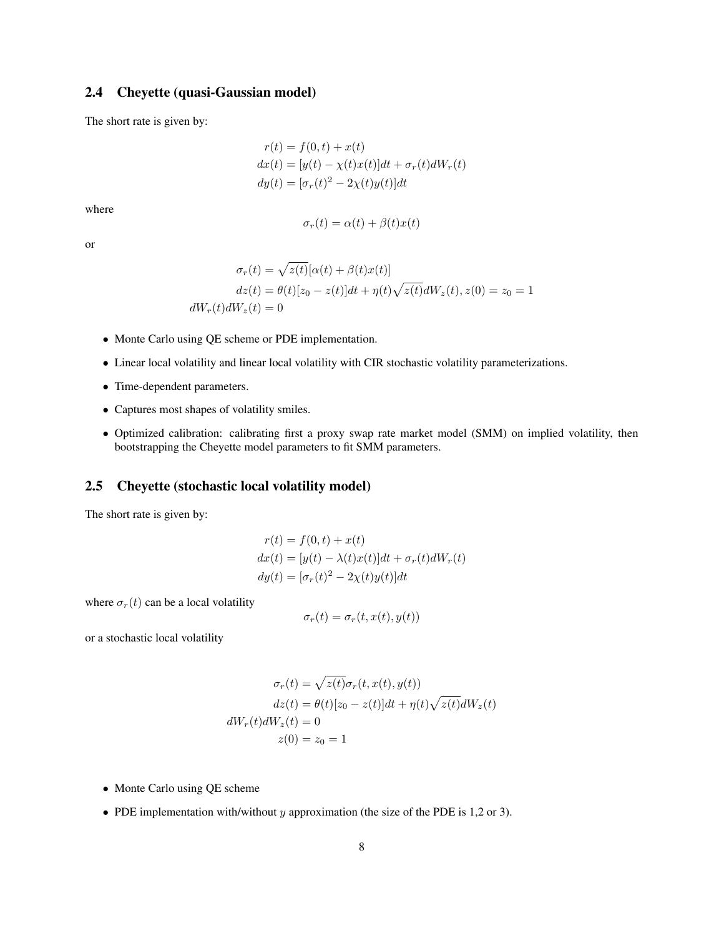#### <span id="page-7-0"></span>2.4 Cheyette (quasi-Gaussian model)

The short rate is given by:

$$
r(t) = f(0, t) + x(t)
$$
  
\n
$$
dx(t) = [y(t) - \chi(t)x(t)]dt + \sigma_r(t)dW_r(t)
$$
  
\n
$$
dy(t) = [\sigma_r(t)^2 - 2\chi(t)y(t)]dt
$$

where

$$
\sigma_r(t) = \alpha(t) + \beta(t)x(t)
$$

or

$$
\sigma_r(t) = \sqrt{z(t)}[\alpha(t) + \beta(t)x(t)]
$$

$$
dz(t) = \theta(t)[z_0 - z(t)]dt + \eta(t)\sqrt{z(t)}dW_z(t), z(0) = z_0 = 1
$$

$$
dW_r(t)dW_z(t) = 0
$$

- Monte Carlo using QE scheme or PDE implementation.
- Linear local volatility and linear local volatility with CIR stochastic volatility parameterizations.
- Time-dependent parameters.
- Captures most shapes of volatility smiles.
- Optimized calibration: calibrating first a proxy swap rate market model (SMM) on implied volatility, then bootstrapping the Cheyette model parameters to fit SMM parameters.

#### <span id="page-7-1"></span>2.5 Cheyette (stochastic local volatility model)

The short rate is given by:

$$
r(t) = f(0, t) + x(t)
$$
  
\n
$$
dx(t) = [y(t) - \lambda(t)x(t)]dt + \sigma_r(t)dW_r(t)
$$
  
\n
$$
dy(t) = [\sigma_r(t)^2 - 2\chi(t)y(t)]dt
$$

where  $\sigma_r(t)$  can be a local volatility

$$
\sigma_r(t) = \sigma_r(t, x(t), y(t))
$$

or a stochastic local volatility

$$
\sigma_r(t) = \sqrt{z(t)} \sigma_r(t, x(t), y(t))
$$

$$
dz(t) = \theta(t)[z_0 - z(t)]dt + \eta(t)\sqrt{z(t)}dW_z(t)
$$

$$
dW_r(t)dW_z(t) = 0
$$

$$
z(0) = z_0 = 1
$$

- Monte Carlo using QE scheme
- PDE implementation with/without y approximation (the size of the PDE is 1,2 or 3).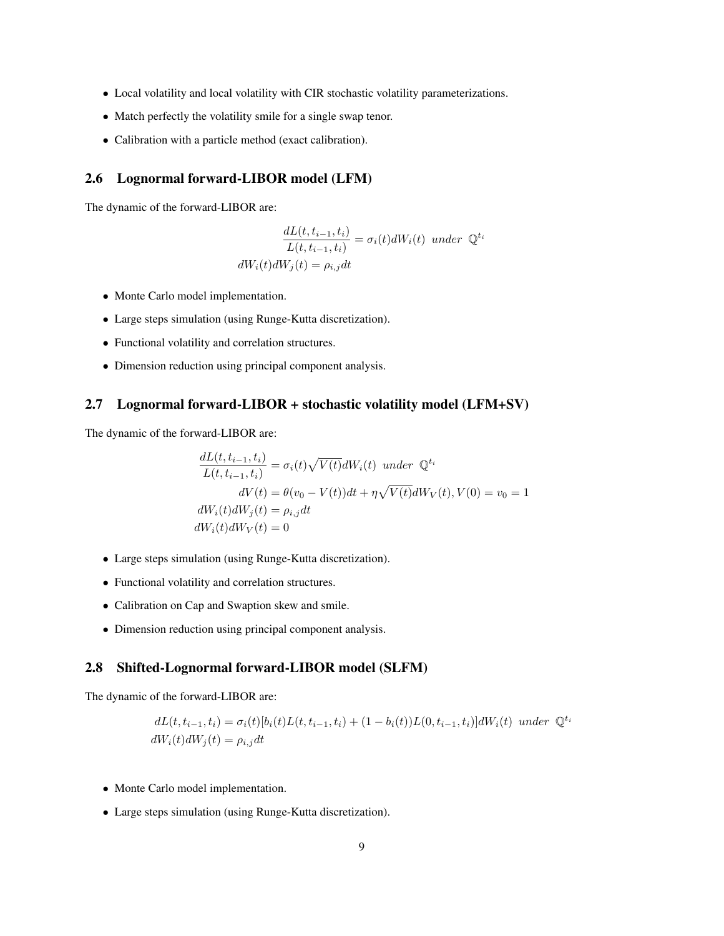- Local volatility and local volatility with CIR stochastic volatility parameterizations.
- Match perfectly the volatility smile for a single swap tenor.
- Calibration with a particle method (exact calibration).

#### <span id="page-8-0"></span>2.6 Lognormal forward-LIBOR model (LFM)

The dynamic of the forward-LIBOR are:

$$
\frac{dL(t, t_{i-1}, t_i)}{L(t, t_{i-1}, t_i)} = \sigma_i(t)dW_i(t) \text{ under } \mathbb{Q}^{t_i}
$$

$$
dW_i(t)dW_j(t) = \rho_{i,j}dt
$$

- Monte Carlo model implementation.
- Large steps simulation (using Runge-Kutta discretization).
- Functional volatility and correlation structures.
- Dimension reduction using principal component analysis.

#### <span id="page-8-1"></span>2.7 Lognormal forward-LIBOR + stochastic volatility model (LFM+SV)

The dynamic of the forward-LIBOR are:

$$
\frac{dL(t, t_{i-1}, t_i)}{L(t, t_{i-1}, t_i)} = \sigma_i(t)\sqrt{V(t)}dW_i(t) \text{ under } \mathbb{Q}^{t_i}
$$
  

$$
dV(t) = \theta(v_0 - V(t))dt + \eta\sqrt{V(t)}dW_V(t), V(0) = v_0 = 1
$$
  

$$
dW_i(t)dW_j(t) = \rho_{i,j}dt
$$
  

$$
dW_i(t)dW_V(t) = 0
$$

- Large steps simulation (using Runge-Kutta discretization).
- Functional volatility and correlation structures.
- Calibration on Cap and Swaption skew and smile.
- Dimension reduction using principal component analysis.

#### <span id="page-8-2"></span>2.8 Shifted-Lognormal forward-LIBOR model (SLFM)

The dynamic of the forward-LIBOR are:

$$
dL(t, t_{i-1}, t_i) = \sigma_i(t)[b_i(t)L(t, t_{i-1}, t_i) + (1 - b_i(t))L(0, t_{i-1}, t_i)]dW_i(t) \ under \mathbb{Q}^{t_i}
$$
  

$$
dW_i(t)dW_j(t) = \rho_{i,j}dt
$$

- Monte Carlo model implementation.
- Large steps simulation (using Runge-Kutta discretization).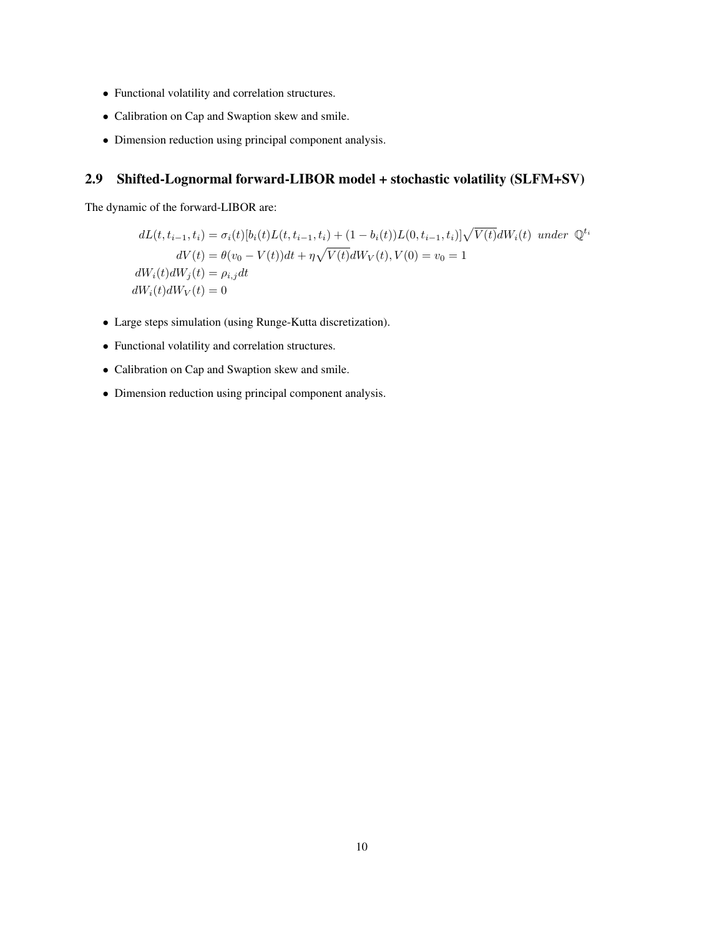- Functional volatility and correlation structures.
- Calibration on Cap and Swaption skew and smile.
- Dimension reduction using principal component analysis.

## <span id="page-9-0"></span>2.9 Shifted-Lognormal forward-LIBOR model + stochastic volatility (SLFM+SV)

The dynamic of the forward-LIBOR are:

$$
dL(t, t_{i-1}, t_i) = \sigma_i(t)[b_i(t)L(t, t_{i-1}, t_i) + (1 - b_i(t))L(0, t_{i-1}, t_i)]\sqrt{V(t)}dW_i(t) \text{ under } \mathbb{Q}^{t_i}
$$
  
\n
$$
dV(t) = \theta(v_0 - V(t))dt + \eta \sqrt{V(t)}dW_V(t), V(0) = v_0 = 1
$$
  
\n
$$
dW_i(t)dW_j(t) = \rho_{i,j}dt
$$
  
\n
$$
dW_i(t)dW_V(t) = 0
$$

- Large steps simulation (using Runge-Kutta discretization).
- Functional volatility and correlation structures.
- Calibration on Cap and Swaption skew and smile.
- Dimension reduction using principal component analysis.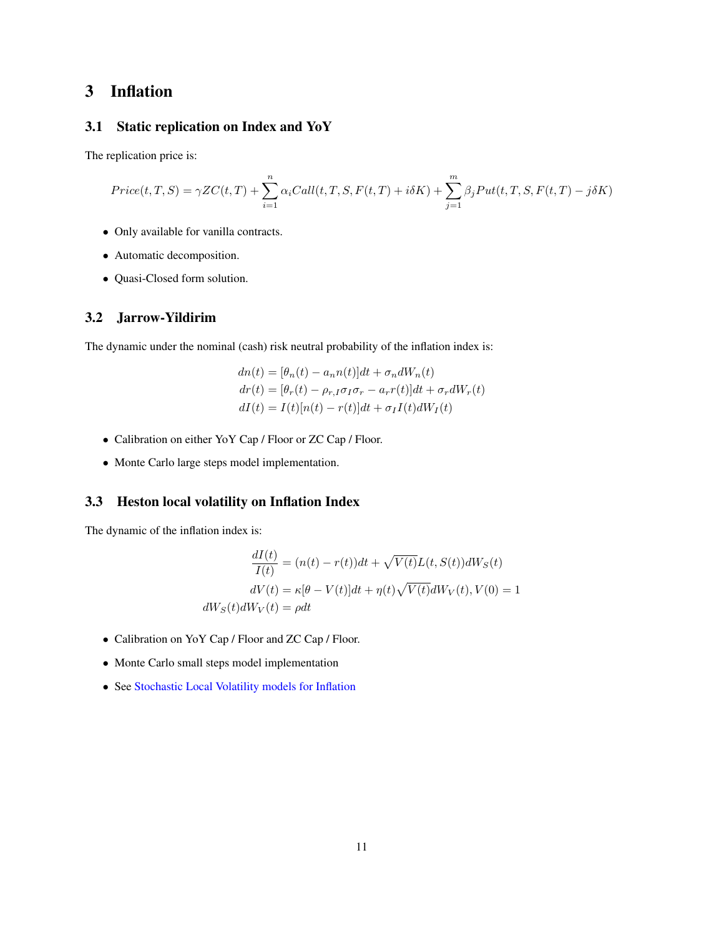## <span id="page-10-0"></span>3 Inflation

## <span id="page-10-1"></span>3.1 Static replication on Index and YoY

The replication price is:

$$
Price(t, T, S) = \gamma ZC(t, T) + \sum_{i=1}^{n} \alpha_i Call(t, T, S, F(t, T) + i\delta K) + \sum_{j=1}^{m} \beta_j Put(t, T, S, F(t, T) - j\delta K)
$$

- Only available for vanilla contracts.
- Automatic decomposition.
- Quasi-Closed form solution.

#### <span id="page-10-2"></span>3.2 Jarrow-Yildirim

The dynamic under the nominal (cash) risk neutral probability of the inflation index is:

$$
dn(t) = [\theta_n(t) - a_n n(t)]dt + \sigma_n dW_n(t)
$$
  
\n
$$
dr(t) = [\theta_r(t) - \rho_{r,I}\sigma_I\sigma_r - a_r r(t)]dt + \sigma_r dW_r(t)
$$
  
\n
$$
dI(t) = I(t)[n(t) - r(t)]dt + \sigma_I I(t) dW_I(t)
$$

- Calibration on either YoY Cap / Floor or ZC Cap / Floor.
- Monte Carlo large steps model implementation.

#### <span id="page-10-3"></span>3.3 Heston local volatility on Inflation Index

The dynamic of the inflation index is:

$$
\frac{dI(t)}{I(t)} = (n(t) - r(t))dt + \sqrt{V(t)}L(t, S(t))dW_S(t)
$$

$$
dV(t) = \kappa[\theta - V(t)]dt + \eta(t)\sqrt{V(t)}dW_V(t), V(0) = 1
$$

$$
dW_S(t)dW_V(t) = \rho dt
$$

- Calibration on YoY Cap / Floor and ZC Cap / Floor.
- Monte Carlo small steps model implementation
- See [Stochastic Local Volatility models for Inflation](https://www.lexifi.com/white_papers/heston_slv_infla.pdf)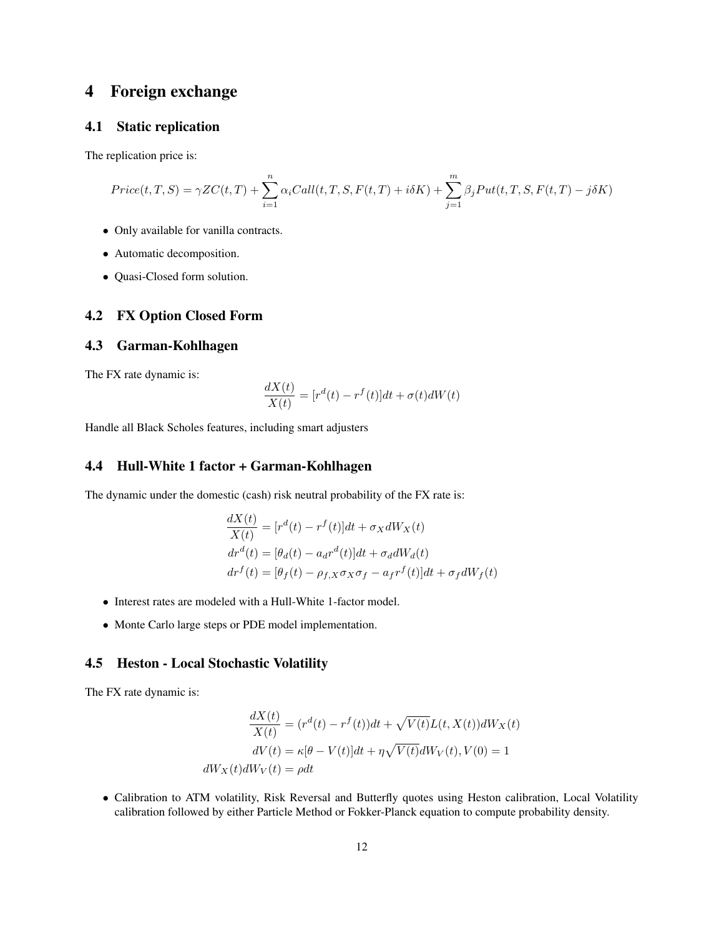## <span id="page-11-0"></span>4 Foreign exchange

#### <span id="page-11-1"></span>4.1 Static replication

The replication price is:

$$
Price(t, T, S) = \gamma ZC(t, T) + \sum_{i=1}^{n} \alpha_i Call(t, T, S, F(t, T) + i\delta K) + \sum_{j=1}^{m} \beta_j Put(t, T, S, F(t, T) - j\delta K)
$$

- Only available for vanilla contracts.
- Automatic decomposition.
- Quasi-Closed form solution.

#### <span id="page-11-2"></span>4.2 FX Option Closed Form

#### <span id="page-11-3"></span>4.3 Garman-Kohlhagen

The FX rate dynamic is:

$$
\frac{dX(t)}{X(t)} = [r^d(t) - r^f(t)]dt + \sigma(t)dW(t)
$$

Handle all Black Scholes features, including smart adjusters

#### <span id="page-11-4"></span>4.4 Hull-White 1 factor + Garman-Kohlhagen

The dynamic under the domestic (cash) risk neutral probability of the FX rate is:

$$
\frac{dX(t)}{X(t)} = [r^d(t) - r^f(t)]dt + \sigma_X dW_X(t)
$$
  
\n
$$
dr^d(t) = [\theta_d(t) - a_d r^d(t)]dt + \sigma_d dW_d(t)
$$
  
\n
$$
dr^f(t) = [\theta_f(t) - \rho_{f,X} \sigma_X \sigma_f - a_f r^f(t)]dt + \sigma_f dW_f(t)
$$

- Interest rates are modeled with a Hull-White 1-factor model.
- Monte Carlo large steps or PDE model implementation.

#### <span id="page-11-5"></span>4.5 Heston - Local Stochastic Volatility

The FX rate dynamic is:

$$
\frac{dX(t)}{X(t)} = (r^d(t) - r^f(t))dt + \sqrt{V(t)}L(t, X(t))dW_X(t)
$$

$$
dV(t) = \kappa[\theta - V(t)]dt + \eta\sqrt{V(t)}dW_V(t), V(0) = 1
$$

$$
dW_X(t)dW_V(t) = \rho dt
$$

• Calibration to ATM volatility, Risk Reversal and Butterfly quotes using Heston calibration, Local Volatility calibration followed by either Particle Method or Fokker-Planck equation to compute probability density.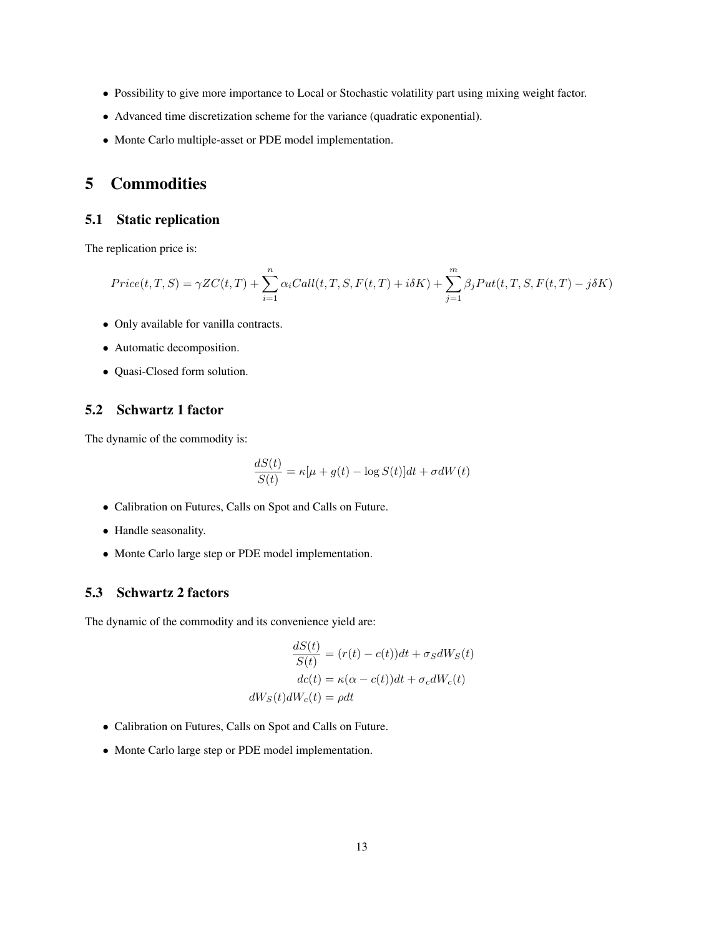- Possibility to give more importance to Local or Stochastic volatility part using mixing weight factor.
- Advanced time discretization scheme for the variance (quadratic exponential).
- Monte Carlo multiple-asset or PDE model implementation.

## <span id="page-12-0"></span>5 Commodities

#### <span id="page-12-1"></span>5.1 Static replication

The replication price is:

$$
Price(t, T, S) = \gamma ZC(t, T) + \sum_{i=1}^{n} \alpha_i Call(t, T, S, F(t, T) + i\delta K) + \sum_{j=1}^{m} \beta_j Put(t, T, S, F(t, T) - j\delta K)
$$

- Only available for vanilla contracts.
- Automatic decomposition.
- Quasi-Closed form solution.

#### <span id="page-12-2"></span>5.2 Schwartz 1 factor

The dynamic of the commodity is:

$$
\frac{dS(t)}{S(t)} = \kappa[\mu + g(t) - \log S(t)]dt + \sigma dW(t)
$$

- Calibration on Futures, Calls on Spot and Calls on Future.
- Handle seasonality.
- Monte Carlo large step or PDE model implementation.

#### <span id="page-12-3"></span>5.3 Schwartz 2 factors

The dynamic of the commodity and its convenience yield are:

$$
\frac{dS(t)}{S(t)} = (r(t) - c(t))dt + \sigma_S dW_S(t)
$$

$$
dc(t) = \kappa(\alpha - c(t))dt + \sigma_c dW_c(t)
$$

$$
dW_S(t)dW_c(t) = \rho dt
$$

- Calibration on Futures, Calls on Spot and Calls on Future.
- Monte Carlo large step or PDE model implementation.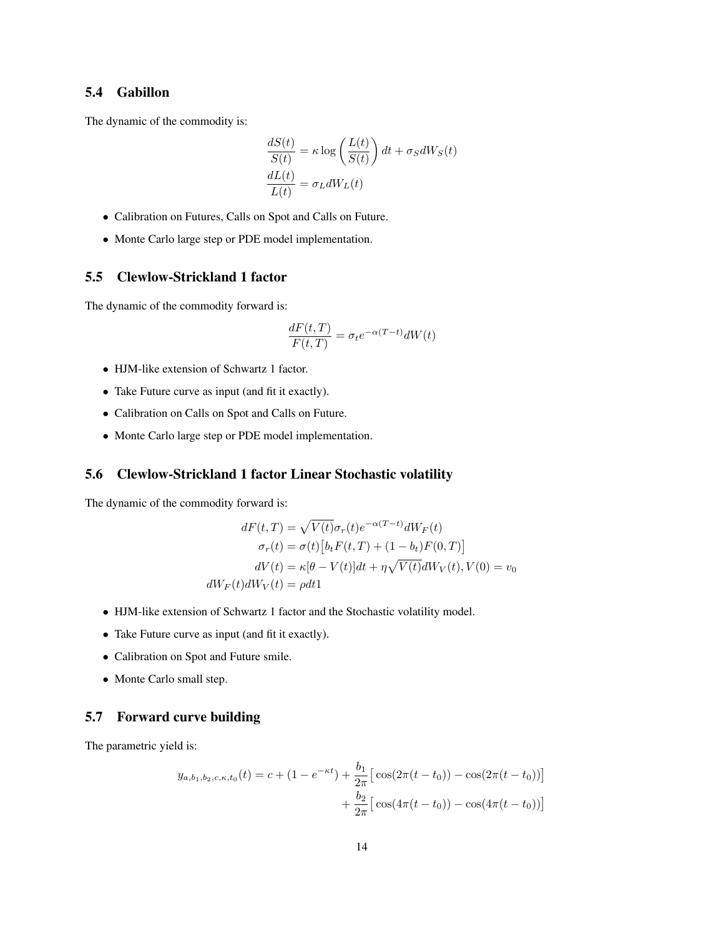#### <span id="page-13-0"></span>5.4 Gabillon

The dynamic of the commodity is:

$$
\frac{dS(t)}{S(t)} = \kappa \log \left( \frac{L(t)}{S(t)} \right) dt + \sigma_S dW_S(t)
$$

$$
\frac{dL(t)}{L(t)} = \sigma_L dW_L(t)
$$

- Calibration on Futures, Calls on Spot and Calls on Future.
- Monte Carlo large step or PDE model implementation.

#### <span id="page-13-1"></span>5.5 Clewlow-Strickland 1 factor

The dynamic of the commodity forward is:

$$
\frac{dF(t,T)}{F(t,T)} = \sigma_t e^{-\alpha(T-t)} dW(t)
$$

- HJM-like extension of Schwartz 1 factor.
- Take Future curve as input (and fit it exactly).
- Calibration on Calls on Spot and Calls on Future.
- Monte Carlo large step or PDE model implementation.

#### <span id="page-13-2"></span>5.6 Clewlow-Strickland 1 factor Linear Stochastic volatility

The dynamic of the commodity forward is:

$$
dF(t,T) = \sqrt{V(t)}\sigma_r(t)e^{-\alpha(T-t)}dW_F(t)
$$

$$
\sigma_r(t) = \sigma(t)[b_t F(t,T) + (1 - b_t)F(0,T)]
$$

$$
dV(t) = \kappa[\theta - V(t)]dt + \eta\sqrt{V(t)}dW_V(t), V(0) = v_0
$$

$$
dW_F(t)dW_V(t) = \rho dt
$$

- HJM-like extension of Schwartz 1 factor and the Stochastic volatility model.
- Take Future curve as input (and fit it exactly).
- Calibration on Spot and Future smile.
- Monte Carlo small step.

#### <span id="page-13-3"></span>5.7 Forward curve building

The parametric yield is:

$$
y_{a,b_1,b_2,c,\kappa,t_0}(t) = c + (1 - e^{-\kappa t}) + \frac{b_1}{2\pi} \left[ \cos(2\pi(t - t_0)) - \cos(2\pi(t - t_0)) \right] + \frac{b_2}{2\pi} \left[ \cos(4\pi(t - t_0)) - \cos(4\pi(t - t_0)) \right]
$$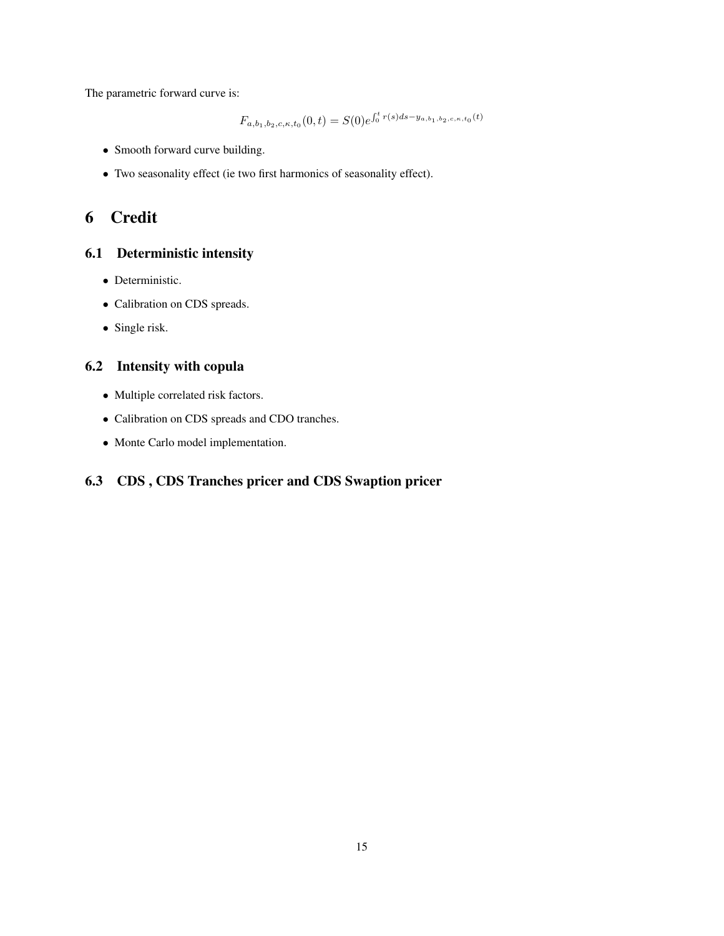The parametric forward curve is:

$$
F_{a,b_1,b_2,c,\kappa,t_0}(0,t) = S(0)e^{\int_0^t r(s)ds - y_{a,b_1,b_2,c,\kappa,t_0}(t)}
$$

- Smooth forward curve building.
- Two seasonality effect (ie two first harmonics of seasonality effect).

## <span id="page-14-0"></span>6 Credit

#### <span id="page-14-1"></span>6.1 Deterministic intensity

- Deterministic.
- Calibration on CDS spreads.
- Single risk.

## <span id="page-14-2"></span>6.2 Intensity with copula

- Multiple correlated risk factors.
- Calibration on CDS spreads and CDO tranches.
- Monte Carlo model implementation.

## <span id="page-14-3"></span>6.3 CDS , CDS Tranches pricer and CDS Swaption pricer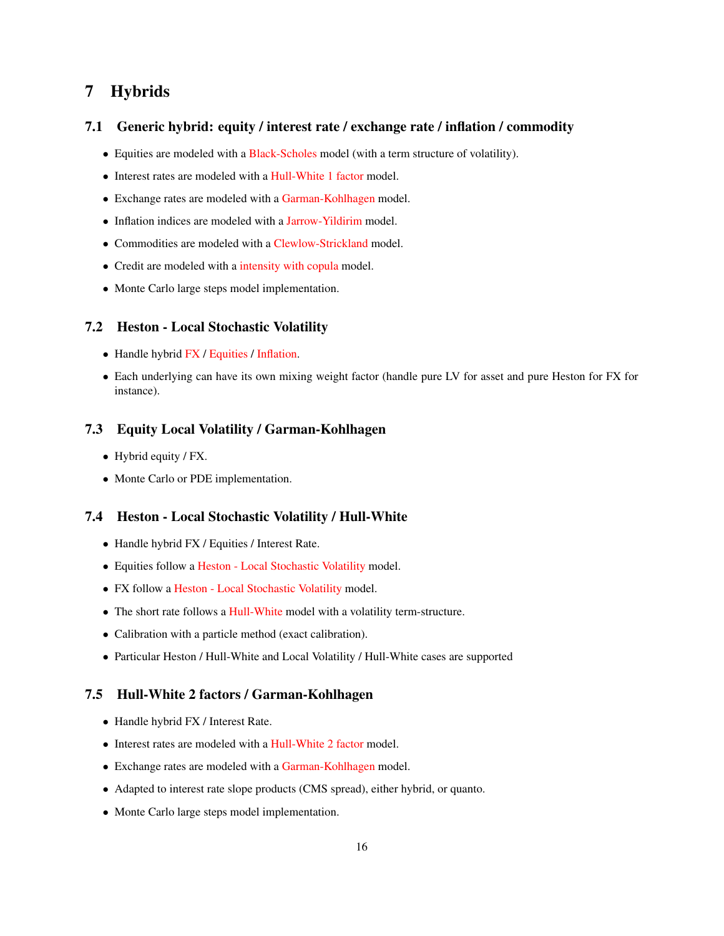## <span id="page-15-0"></span>7 Hybrids

#### <span id="page-15-1"></span>7.1 Generic hybrid: equity / interest rate / exchange rate / inflation / commodity

- Equities are modeled with a [Black-Scholes](#page-2-2) model (with a term structure of volatility).
- Interest rates are modeled with a [Hull-White 1 factor](#page-6-2) model.
- Exchange rates are modeled with a [Garman-Kohlhagen](#page-11-3) model.
- Inflation indices are modeled with a [Jarrow-Yildirim](#page-10-2) model.
- Commodities are modeled with a [Clewlow-Strickland](#page-13-1) model.
- Credit are modeled with a [intensity with copula](#page-14-2) model.
- Monte Carlo large steps model implementation.

#### <span id="page-15-2"></span>7.2 Heston - Local Stochastic Volatility

- Handle hybrid [FX](#page-11-5) / [Equities](#page-3-2) / [Inflation.](#page-10-3)
- Each underlying can have its own mixing weight factor (handle pure LV for asset and pure Heston for FX for instance).

#### <span id="page-15-3"></span>7.3 Equity Local Volatility / Garman-Kohlhagen

- Hybrid equity / FX.
- Monte Carlo or PDE implementation.

#### <span id="page-15-4"></span>7.4 Heston - Local Stochastic Volatility / Hull-White

- Handle hybrid FX / Equities / Interest Rate.
- Equities follow a [Heston Local Stochastic Volatility](#page-3-2) model.
- FX follow a [Heston Local Stochastic Volatility](#page-11-5) model.
- The short rate follows a [Hull-White](#page-6-2) model with a volatility term-structure.
- Calibration with a particle method (exact calibration).
- Particular Heston / Hull-White and Local Volatility / Hull-White cases are supported

#### <span id="page-15-5"></span>7.5 Hull-White 2 factors / Garman-Kohlhagen

- Handle hybrid FX / Interest Rate.
- Interest rates are modeled with a [Hull-White 2 factor](#page-6-3) model.
- Exchange rates are modeled with a [Garman-Kohlhagen](#page-11-3) model.
- Adapted to interest rate slope products (CMS spread), either hybrid, or quanto.
- Monte Carlo large steps model implementation.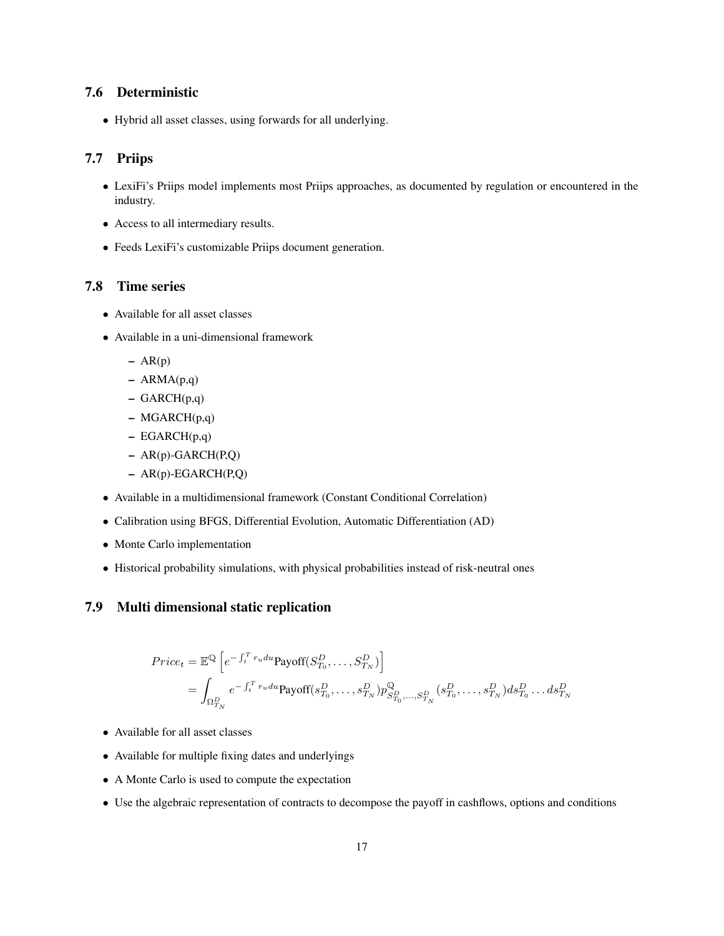#### <span id="page-16-0"></span>7.6 Deterministic

• Hybrid all asset classes, using forwards for all underlying.

#### <span id="page-16-1"></span>7.7 Priips

- LexiFi's Priips model implements most Priips approaches, as documented by regulation or encountered in the industry.
- Access to all intermediary results.
- Feeds LexiFi's customizable Priips document generation.

#### <span id="page-16-2"></span>7.8 Time series

- Available for all asset classes
- Available in a uni-dimensional framework
	- $AR(p)$
	- $-$  ARMA $(p,q)$
	- GARCH(p,q)
	- MGARCH(p,q)
	- EGARCH(p,q)
	- AR(p)-GARCH(P,Q)
	- AR(p)-EGARCH(P,Q)
- Available in a multidimensional framework (Constant Conditional Correlation)
- Calibration using BFGS, Differential Evolution, Automatic Differentiation (AD)
- Monte Carlo implementation
- Historical probability simulations, with physical probabilities instead of risk-neutral ones

### <span id="page-16-3"></span>7.9 Multi dimensional static replication

$$
Price_t = \mathbb{E}^{\mathbb{Q}} \left[ e^{-\int_t^T r_u du} \text{Payoff}(S_{T_0}^D, \dots, S_{T_N}^D) \right]
$$
  
= 
$$
\int_{\Omega_{T_N}^D} e^{-\int_t^T r_u du} \text{Payoff}(s_{T_0}^D, \dots, s_{T_N}^D) p_{S_{T_0}^D, \dots, S_{T_N}^D}^{\mathbb{Q}} (s_{T_0}^D, \dots, s_{T_N}^D) ds_{T_0}^D \dots ds_{T_N}^D
$$

- Available for all asset classes
- Available for multiple fixing dates and underlyings
- A Monte Carlo is used to compute the expectation
- Use the algebraic representation of contracts to decompose the payoff in cashflows, options and conditions